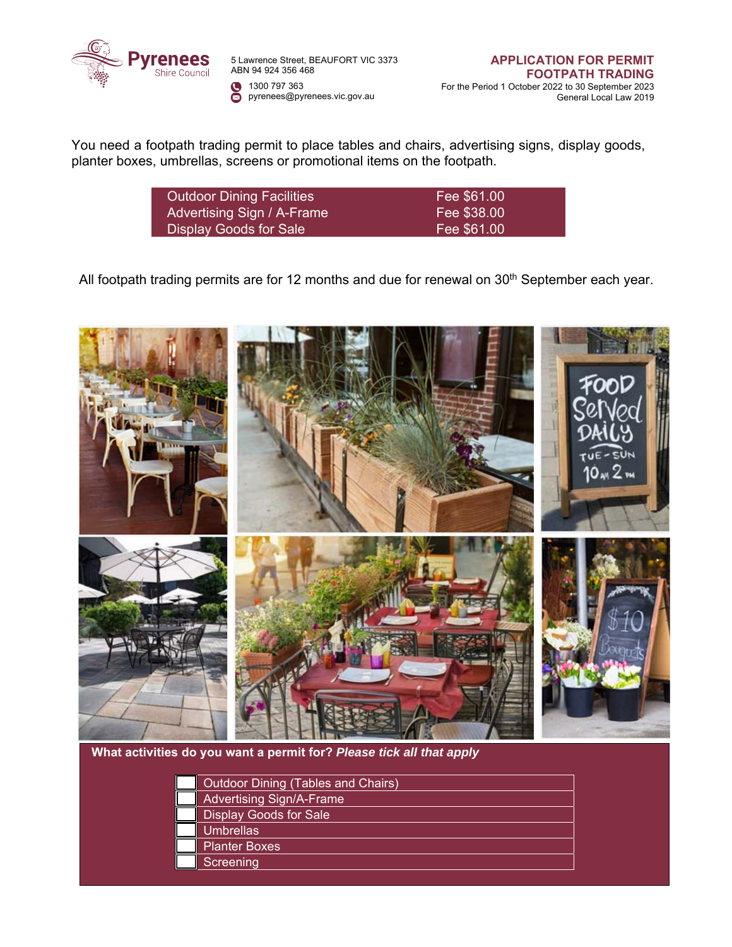

5 Lawrence Street, BEAUFORT VIC 3373 ABN 94 924 356 468 1300 797 363 pyrenees@pyrenees.vic.gov.au

**APPLICATION FOR PERMIT FOOTPATH TRADING** For the Period 1 October 2022 to 30 September 2023 General Local Law 2019

You need a footpath trading permit to place tables and chairs, advertising signs, display goods, planter boxes, umbrellas, screens or promotional items on the footpath.

| <b>Outdoor Dining Facilities</b> | Fee \$61.00 |
|----------------------------------|-------------|
| Advertising Sign / A-Frame       | Fee \$38.00 |
| Display Goods for Sale           | Fee \$61.00 |

All footpath trading permits are for 12 months and due for renewal on 30<sup>th</sup> September each year.



**What activities do you want a permit for?** *Please tick all that apply* 

| Outdoor Dining (Tables and Chairs) |
|------------------------------------|
| <b>Advertising Sign/A-Frame</b>    |
| <b>Display Goods for Sale</b>      |
| <b>Umbrellas</b>                   |
| <b>Planter Boxes</b>               |
| <b>Screening</b>                   |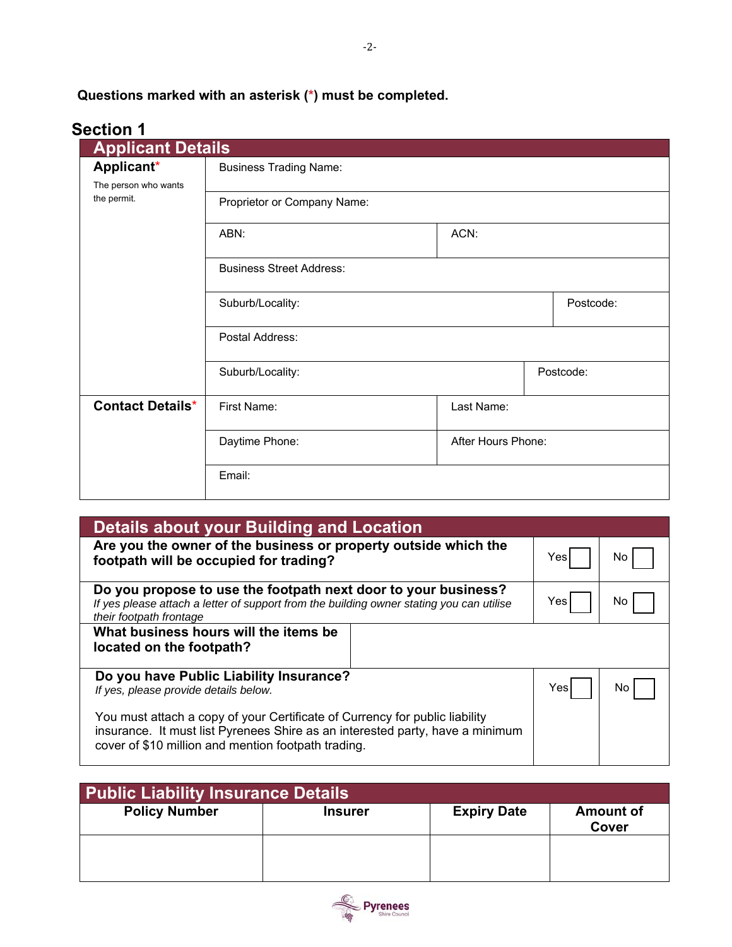**Questions marked with an asterisk (\*) must be completed.**

# **Section 1**

| UVWUI 1<br><b>Applicant Details</b> |                                 |                    |  |           |
|-------------------------------------|---------------------------------|--------------------|--|-----------|
| Applicant*<br>The person who wants  | <b>Business Trading Name:</b>   |                    |  |           |
| the permit.                         | Proprietor or Company Name:     |                    |  |           |
|                                     | ABN:                            | ACN:               |  |           |
|                                     | <b>Business Street Address:</b> |                    |  |           |
|                                     | Suburb/Locality:                |                    |  | Postcode: |
|                                     | Postal Address:                 |                    |  |           |
|                                     | Suburb/Locality:                |                    |  | Postcode: |
| <b>Contact Details*</b>             | First Name:                     | Last Name:         |  |           |
|                                     | Daytime Phone:                  | After Hours Phone: |  |           |
|                                     | Email:                          |                    |  |           |

| <b>Details about your Building and Location</b>                                                                                                                                                                     |      |     |  |  |
|---------------------------------------------------------------------------------------------------------------------------------------------------------------------------------------------------------------------|------|-----|--|--|
| Are you the owner of the business or property outside which the<br>footpath will be occupied for trading?                                                                                                           |      | No  |  |  |
| Do you propose to use the footpath next door to your business?<br>If yes please attach a letter of support from the building owner stating you can utilise<br>their footpath frontage                               |      | No. |  |  |
| What business hours will the items be<br>located on the footpath?                                                                                                                                                   |      |     |  |  |
| Do you have Public Liability Insurance?<br>If yes, please provide details below.                                                                                                                                    | Yesl | N٥  |  |  |
| You must attach a copy of your Certificate of Currency for public liability<br>insurance. It must list Pyrenees Shire as an interested party, have a minimum<br>cover of \$10 million and mention footpath trading. |      |     |  |  |

| Public Liability Insurance Details |                |                    |                           |
|------------------------------------|----------------|--------------------|---------------------------|
| <b>Policy Number</b>               | <b>Insurer</b> | <b>Expiry Date</b> | <b>Amount of</b><br>Cover |
|                                    |                |                    |                           |

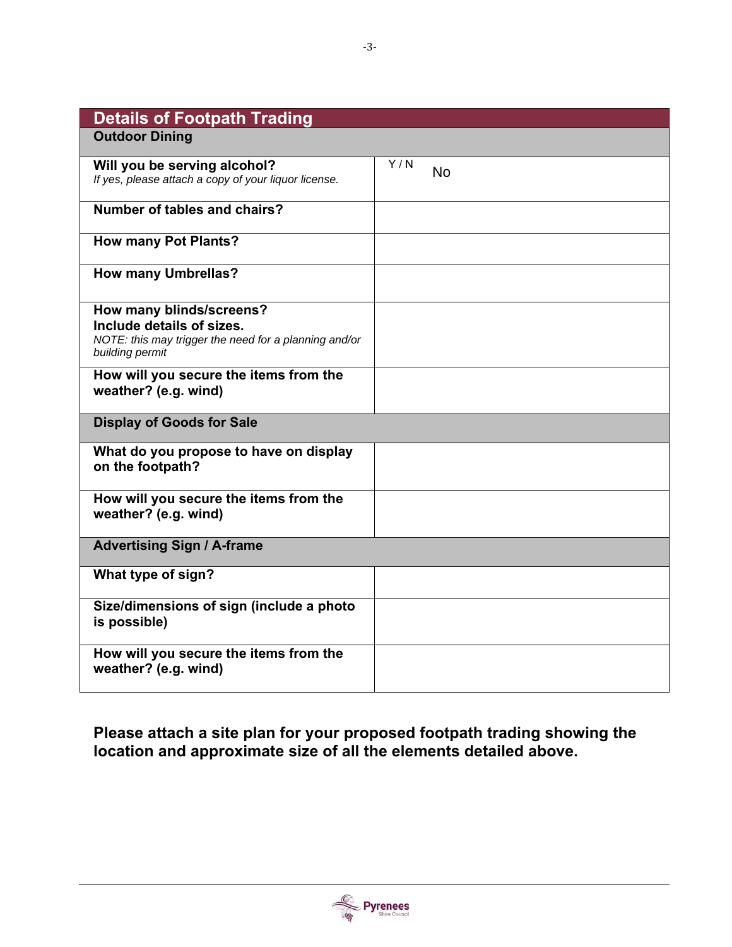| <b>Details of Footpath Trading</b>                                                                                                |                  |
|-----------------------------------------------------------------------------------------------------------------------------------|------------------|
| <b>Outdoor Dining</b>                                                                                                             |                  |
| Will you be serving alcohol?<br>If yes, please attach a copy of your liquor license.                                              | Y/N<br><b>No</b> |
| <b>Number of tables and chairs?</b>                                                                                               |                  |
| <b>How many Pot Plants?</b>                                                                                                       |                  |
| <b>How many Umbrellas?</b>                                                                                                        |                  |
| How many blinds/screens?<br>Include details of sizes.<br>NOTE: this may trigger the need for a planning and/or<br>building permit |                  |
| How will you secure the items from the<br>weather? (e.g. wind)                                                                    |                  |
| <b>Display of Goods for Sale</b>                                                                                                  |                  |
| What do you propose to have on display<br>on the footpath?                                                                        |                  |
| How will you secure the items from the<br>weather? (e.g. wind)                                                                    |                  |
| <b>Advertising Sign / A-frame</b>                                                                                                 |                  |
| What type of sign?                                                                                                                |                  |
| Size/dimensions of sign (include a photo<br>is possible)                                                                          |                  |
| How will you secure the items from the<br>weather? (e.g. wind)                                                                    |                  |

**Please attach a site plan for your proposed footpath trading showing the location and approximate size of all the elements detailed above.** 

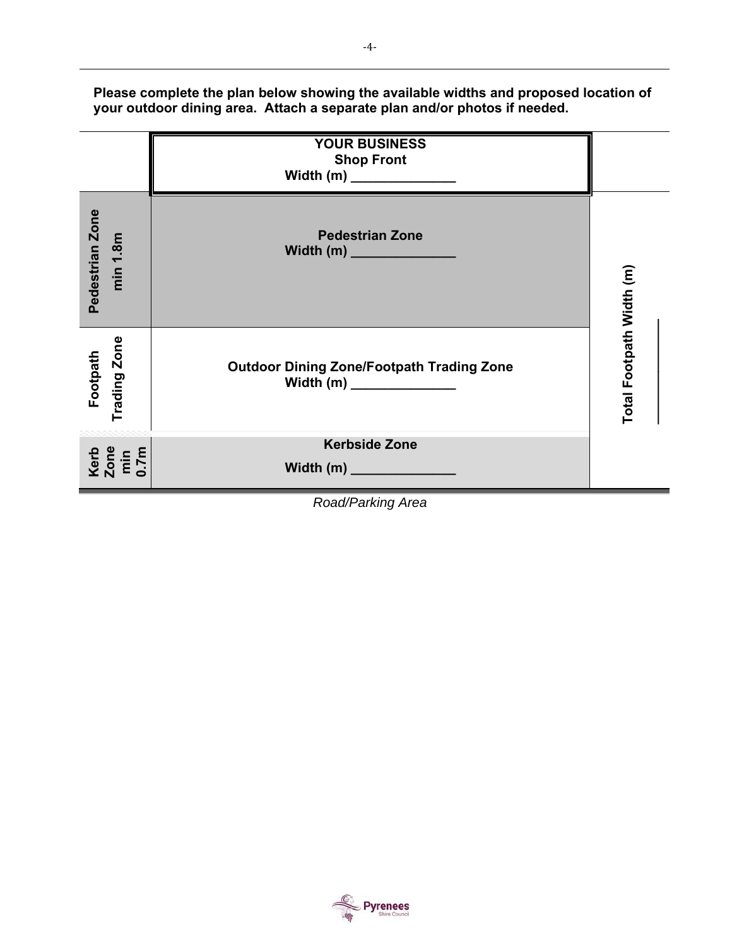**Please complete the plan below showing the available widths and proposed location of your outdoor dining area. Attach a separate plan and/or photos if needed.** 



*Road/Parking Area* 



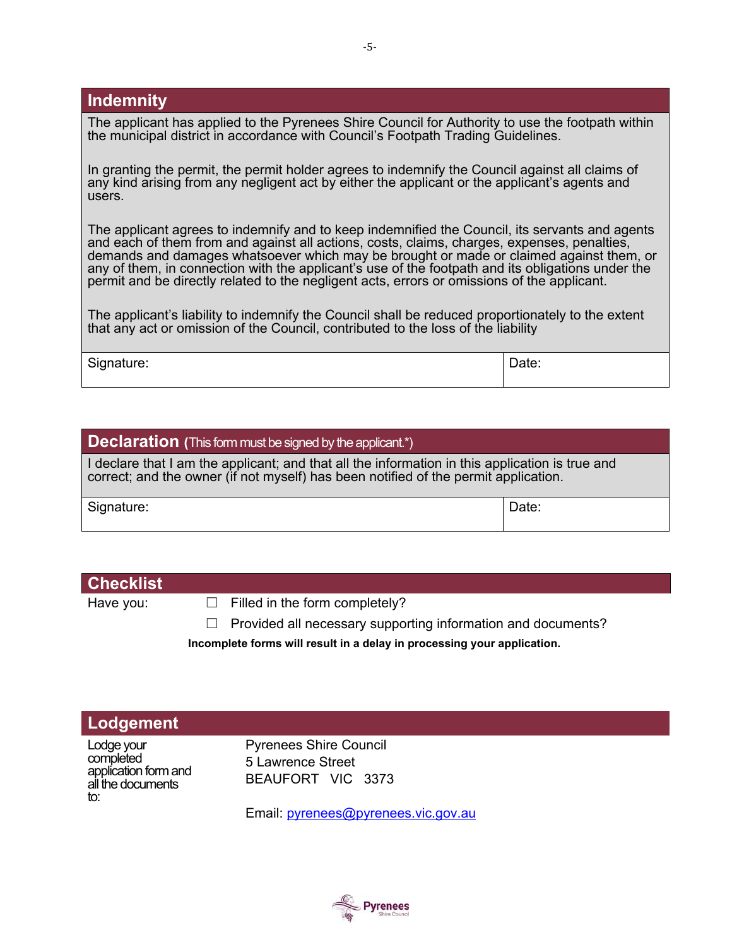## **Indemnity**

The applicant has applied to the Pyrenees Shire Council for Authority to use the footpath within the municipal district in accordance with Council's Footpath Trading Guidelines.

In granting the permit, the permit holder agrees to indemnify the Council against all claims of any kind arising from any negligent act by either the applicant or the applicant's agents and users.

The applicant agrees to indemnify and to keep indemnified the Council, its servants and agents and each of them from and against all actions, costs, claims, charges, expenses, penalties, demands and damages whatsoever which may be brought or made or claimed against them, or any of them, in connection with the applicant's use of the footpath and its obligations under the permit and be directly related to the negligent acts, errors or omissions of the applicant.

The applicant's liability to indemnify the Council shall be reduced proportionately to the extent that any act or omission of the Council, contributed to the loss of the liability

Signature: Date: Description of the Date: Date: Date: Date: Date: Date: Date: Date: Date: Date: Date: Date: Date: Date: Date: Date: Date: Date: Date: Date: Date: Date: Date: Date: Date: Date: Date: Date: Date: Date: Date:

#### **Declaration** (This form must be signed by the applicant.\*)

I declare that I am the applicant; and that all the information in this application is true and correct; and the owner (if not myself) has been notified of the permit application.

Signature: Date: Note: Note: Note: Note: Note: Note: Note: Note: Note: Note: Note: Note: Note: Note: Note: Note: Note: Note: Note: Note: Note: Note: Note: Note: Note: Note: Note: Note: Note: Note: Note: Note: Note: Note: N

### **Checklist**

Have you:  $\Box$  Filled in the form completely?

 $\Box$  Provided all necessary supporting information and documents?

**Incomplete forms will result in a delay in processing your application.** 

# **Lodgement**

Lodge your completed application form and all the documents to:

Pyrenees Shire Council 5 Lawrence Street BEAUFORT VIC 3373

Email: pyrenees@pyrenees.vic.gov.au